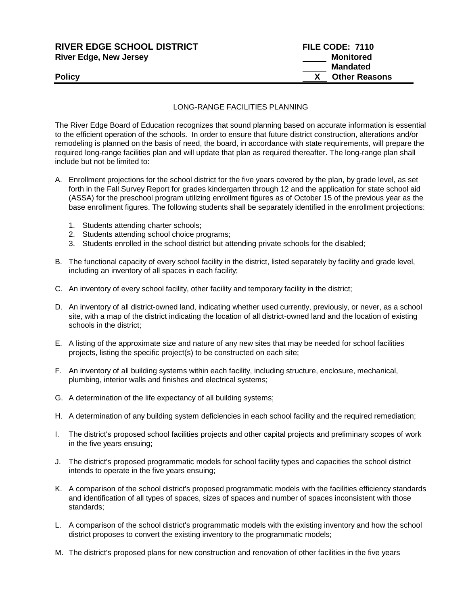| <b>RIVER EDGE SCHOOL DISTRICT</b> | FILE CODE: 7110      |  |
|-----------------------------------|----------------------|--|
| <b>River Edge, New Jersey</b>     | Monitored            |  |
|                                   | <b>Mandated</b>      |  |
| Policy                            | <b>Other Reasons</b> |  |
|                                   |                      |  |

## LONG-RANGE FACILITIES PLANNING

The River Edge Board of Education recognizes that sound planning based on accurate information is essential to the efficient operation of the schools. In order to ensure that future district construction, alterations and/or remodeling is planned on the basis of need, the board, in accordance with state requirements, will prepare the required long-range facilities plan and will update that plan as required thereafter. The long-range plan shall include but not be limited to:

- A. Enrollment projections for the school district for the five years covered by the plan, by grade level, as set forth in the Fall Survey Report for grades kindergarten through 12 and the application for state school aid (ASSA) for the preschool program utilizing enrollment figures as of October 15 of the previous year as the base enrollment figures. The following students shall be separately identified in the enrollment projections:
	- 1. Students attending charter schools;
	- 2. Students attending school choice programs;
	- 3. Students enrolled in the school district but attending private schools for the disabled;
- B. The functional capacity of every school facility in the district, listed separately by facility and grade level, including an inventory of all spaces in each facility;
- C. An inventory of every school facility, other facility and temporary facility in the district;
- D. An inventory of all district-owned land, indicating whether used currently, previously, or never, as a school site, with a map of the district indicating the location of all district-owned land and the location of existing schools in the district;
- E. A listing of the approximate size and nature of any new sites that may be needed for school facilities projects, listing the specific project(s) to be constructed on each site;
- F. An inventory of all building systems within each facility, including structure, enclosure, mechanical, plumbing, interior walls and finishes and electrical systems;
- G. A determination of the life expectancy of all building systems;
- H. A determination of any building system deficiencies in each school facility and the required remediation;
- I. The district's proposed school facilities projects and other capital projects and preliminary scopes of work in the five years ensuing;
- J. The district's proposed programmatic models for school facility types and capacities the school district intends to operate in the five years ensuing;
- K. A comparison of the school district's proposed programmatic models with the facilities efficiency standards and identification of all types of spaces, sizes of spaces and number of spaces inconsistent with those standards;
- L. A comparison of the school district's programmatic models with the existing inventory and how the school district proposes to convert the existing inventory to the programmatic models;
- M. The district's proposed plans for new construction and renovation of other facilities in the five years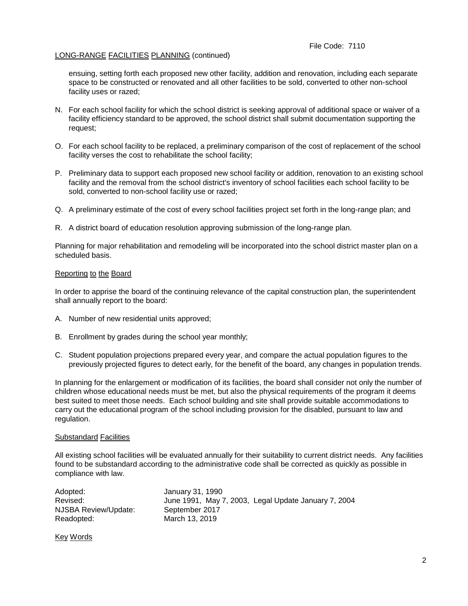### LONG-RANGE FACILITIES PLANNING (continued)

ensuing, setting forth each proposed new other facility, addition and renovation, including each separate space to be constructed or renovated and all other facilities to be sold, converted to other non-school facility uses or razed;

- N. For each school facility for which the school district is seeking approval of additional space or waiver of a facility efficiency standard to be approved, the school district shall submit documentation supporting the request;
- O. For each school facility to be replaced, a preliminary comparison of the cost of replacement of the school facility verses the cost to rehabilitate the school facility;
- P. Preliminary data to support each proposed new school facility or addition, renovation to an existing school facility and the removal from the school district's inventory of school facilities each school facility to be sold, converted to non-school facility use or razed;
- Q. A preliminary estimate of the cost of every school facilities project set forth in the long-range plan; and
- R. A district board of education resolution approving submission of the long-range plan.

Planning for major rehabilitation and remodeling will be incorporated into the school district master plan on a scheduled basis.

#### Reporting to the Board

In order to apprise the board of the continuing relevance of the capital construction plan, the superintendent shall annually report to the board:

- A. Number of new residential units approved;
- B. Enrollment by grades during the school year monthly;
- C. Student population projections prepared every year, and compare the actual population figures to the previously projected figures to detect early, for the benefit of the board, any changes in population trends.

In planning for the enlargement or modification of its facilities, the board shall consider not only the number of children whose educational needs must be met, but also the physical requirements of the program it deems best suited to meet those needs. Each school building and site shall provide suitable accommodations to carry out the educational program of the school including provision for the disabled, pursuant to law and regulation.

#### Substandard Facilities

All existing school facilities will be evaluated annually for their suitability to current district needs. Any facilities found to be substandard according to the administrative code shall be corrected as quickly as possible in compliance with law.

| Adopted:             | January 31, 1990                                     |
|----------------------|------------------------------------------------------|
| Revised:             | June 1991, May 7, 2003, Legal Update January 7, 2004 |
| NJSBA Review/Update: | September 2017                                       |
| Readopted:           | March 13, 2019                                       |

Key Words